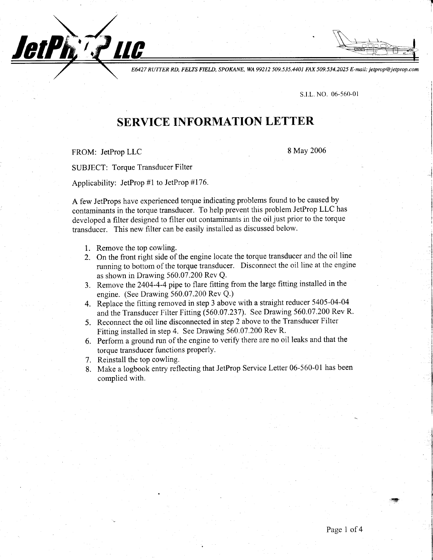E6427 RUTTER RD, FELTS FIELD, SPOKANE, WA 99212 509.535.4401 FAX 509.534.2025 E-mail: jetprop@jetprop.com

s.l.L. No. 06-560-01

## SERVICE INFORMATION LETTER

FROM: JetProp LLC

JetPh Pluc

8 May 2006

SUBJECT: Torque Transducer Filter

Applicability: JetProp #1 to JetProp #176.

A few JetProps have experienced torque indicating problems found to be caused by contaminants in the torque transducer. To help prevent this problem JetProp LLC has developed a filter designed to filter out contaminants in the oil just prior to the torque transducer. This new filter can be easily installed as discussed below.

- 1. Remove the top cowling.
- 2. On the front right side of the engine locate the torque transducer and the oil line running to bottom of the torque transducer. Disconnect the oil line at the engine as shown in Drawing 560.07 .200 Rev Q.
- 3, Remove the2404-4-4 pipe to flare fitting from the large fitting installed in the engine. (See Drawing 560.07.200 Rev Q.)
- 4. Replace the fitting removed in step 3 above with a straight reducer 5405-04-04 and the Transducer Filter Fitting (560.07.237). See Drawing 560.07.200 Rev R.
- 5. Reconnect the oil line disconnected instep 2 above to the Transducer Filter Fitting installed in step 4. See Drawing 560.07.200 Rev R.
- Perform a ground run of the engine to verify there are no oil leaks and that the 6. torque transducer functions properly.
- $\overline{7}$ . Reinstall the top cowling.
- Make a logbook entry reflecting that JetProp Service Letter 06-560-01 has been 8. complied with.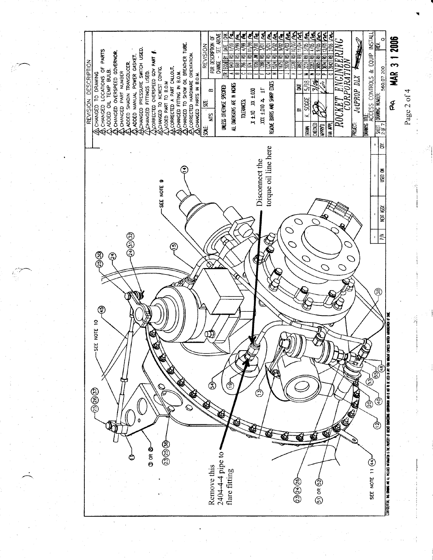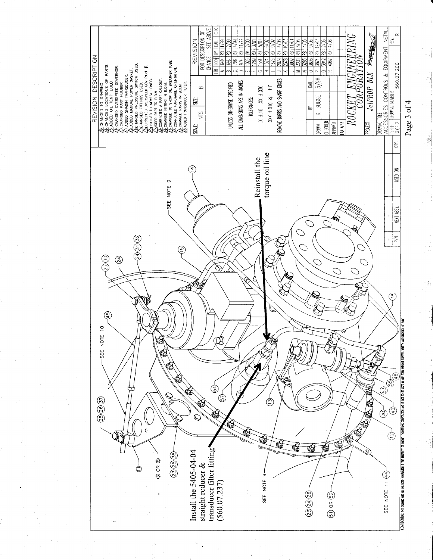